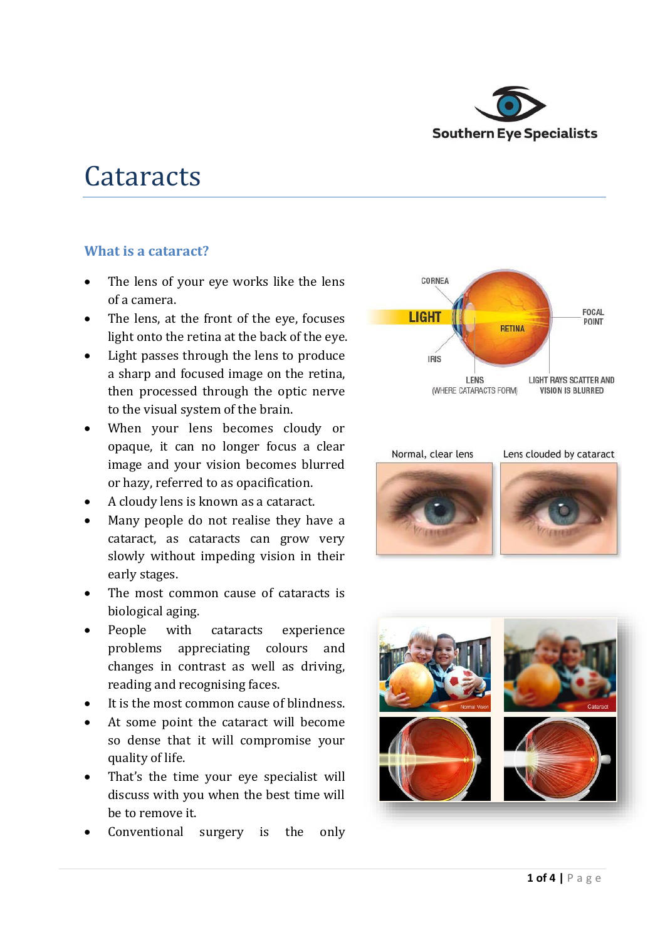

# **Cataracts**

## **What is a cataract?**

- The lens of your eye works like the lens of a camera.
- The lens, at the front of the eye, focuses light onto the retina at the back of the eye.
- Light passes through the lens to produce a sharp and focused image on the retina, then processed through the optic nerve to the visual system of the brain.
- When your lens becomes cloudy or opaque, it can no longer focus a clear image and your vision becomes blurred or hazy, referred to as opacification.
- A cloudy lens is known as a cataract.
- Many people do not realise they have a cataract, as cataracts can grow very slowly without impeding vision in their early stages.
- The most common cause of cataracts is biological aging.
- People with cataracts experience problems appreciating colours and changes in contrast as well as driving, reading and recognising faces.
- It is the most common cause of blindness.
- At some point the cataract will become so dense that it will compromise your quality of life.
- That's the time your eye specialist will discuss with you when the best time will be to remove it.
- Conventional surgery is the only







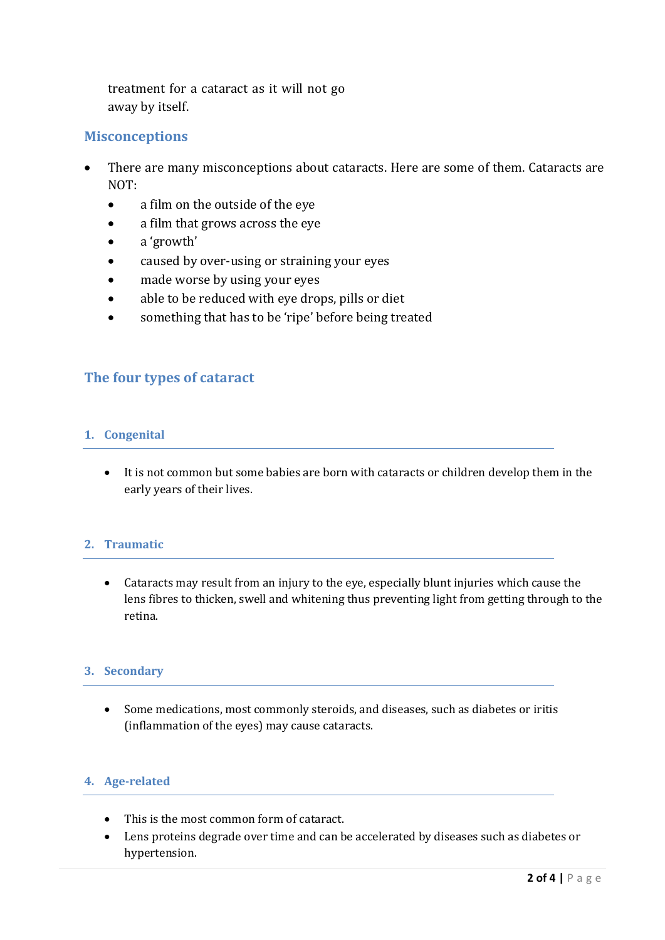treatment for a cataract as it will not go away by itself.

## **Misconceptions**

- There are many misconceptions about cataracts. Here are some of them. Cataracts are NOT:
	- a film on the outside of the eye
	- a film that grows across the eye
	- a 'growth'
	- caused by over-using or straining your eyes
	- made worse by using your eyes
	- able to be reduced with eye drops, pills or diet
	- something that has to be 'ripe' before being treated

## **The four types of cataract**

### **1. Congenital**

 It is not common but some babies are born with cataracts or children develop them in the early years of their lives.

## **2. Traumatic**

 Cataracts may result from an injury to the eye, especially blunt injuries which cause the lens fibres to thicken, swell and whitening thus preventing light from getting through to the retina.

#### **3. Secondary**

 Some medications, most commonly steroids, and diseases, such as diabetes or iritis (inflammation of the eyes) may cause cataracts.

## **4. Age-related**

- This is the most common form of cataract.
- Lens proteins degrade over time and can be accelerated by diseases such as diabetes or hypertension.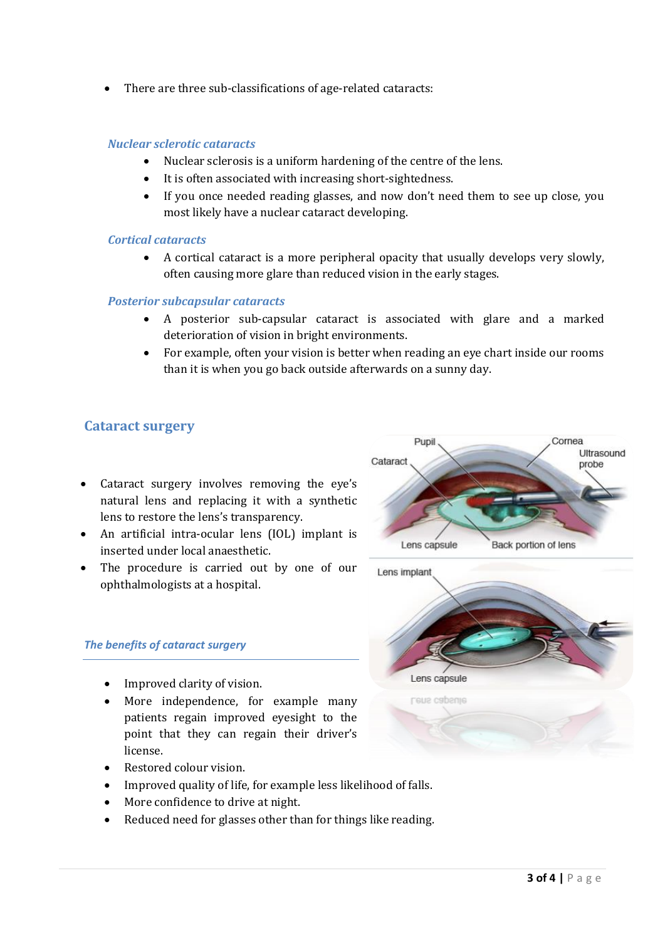There are three sub-classifications of age-related cataracts:

#### *Nuclear sclerotic cataracts*

- Nuclear sclerosis is a uniform hardening of the centre of the lens.
- It is often associated with increasing short-sightedness.
- If you once needed reading glasses, and now don't need them to see up close, you most likely have a nuclear cataract developing.

#### *Cortical cataracts*

 A cortical cataract is a more peripheral opacity that usually develops very slowly, often causing more glare than reduced vision in the early stages.

#### *Posterior subcapsular cataracts*

- A posterior sub-capsular cataract is associated with glare and a marked deterioration of vision in bright environments.
- For example, often your vision is better when reading an eye chart inside our rooms than it is when you go back outside afterwards on a sunny day.

## **Cataract surgery**

- Cataract surgery involves removing the eye's natural lens and replacing it with a synthetic lens to restore the lens's transparency.
- An artificial intra-ocular lens (IOL) implant is inserted under local anaesthetic.
- The procedure is carried out by one of our ophthalmologists at a hospital.

#### *The benefits of cataract surgery*

- Improved clarity of vision.
- More independence, for example many patients regain improved eyesight to the point that they can regain their driver's license.
- Restored colour vision.
- Improved quality of life, for example less likelihood of falls.
- More confidence to drive at night.
- Reduced need for glasses other than for things like reading.